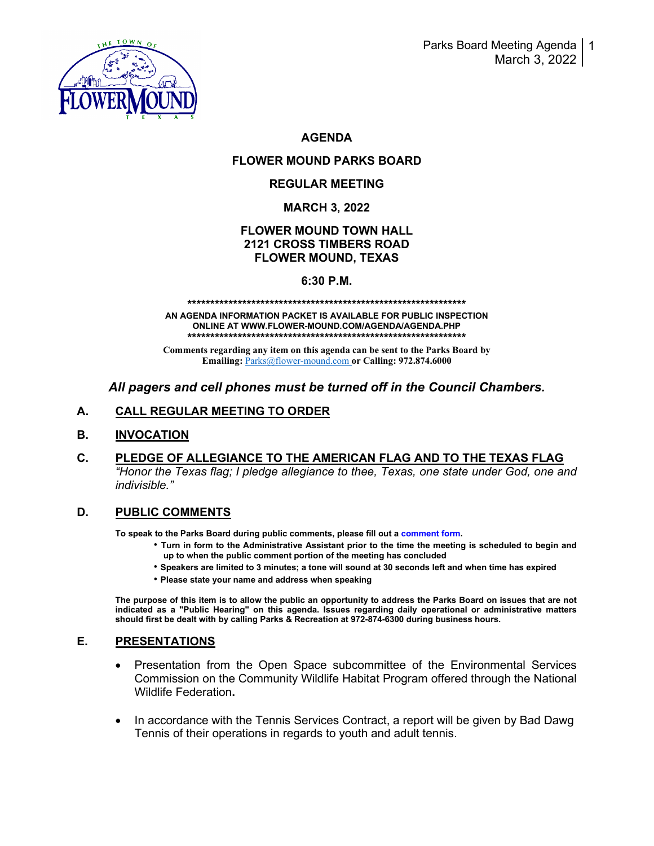

# **AGENDA**

# **FLOWER MOUND PARKS BOARD**

## **REGULAR MEETING**

## **MARCH 3, 2022**

## **FLOWER MOUND TOWN HALL 2121 CROSS TIMBERS ROAD FLOWER MOUND, TEXAS**

#### **6:30 P.M.**

# **\*\*\*\*\*\*\*\*\*\*\*\*\*\*\*\*\*\*\*\*\*\*\*\*\*\*\*\*\*\*\*\*\*\*\*\*\*\*\*\*\*\*\*\*\*\*\*\*\*\*\*\*\*\*\*\*\*\*\*\*\***

**AN AGENDA INFORMATION PACKET IS AVAILABLE FOR PUBLIC INSPECTION ONLINE AT WWW.FLOWER-MOUND.COM/AGENDA/AGENDA.PHP \*\*\*\*\*\*\*\*\*\*\*\*\*\*\*\*\*\*\*\*\*\*\*\*\*\*\*\*\*\*\*\*\*\*\*\*\*\*\*\*\*\*\*\*\*\*\*\*\*\*\*\*\*\*\*\*\*\*\*\*\***

**Comments regarding any item on this agenda can be sent to the Parks Board by Emailing:** [Parks@flower-mound.com](mailto:Parks@flower-mound.com) **or Calling: 972.874.6000**

## *All pagers and cell phones must be turned off in the Council Chambers.*

## **A. CALL REGULAR MEETING TO ORDER**

#### **B. INVOCATION**

**C. PLEDGE OF ALLEGIANCE TO THE AMERICAN FLAG AND TO THE TEXAS FLAG** *"Honor the Texas flag; I pledge allegiance to thee, Texas, one state under God, one and indivisible."* 

#### **D. PUBLIC COMMENTS**

**To speak to the Parks Board during public comments, please fill out a comment form.** 

- **Turn in form to the Administrative Assistant prior to the time the meeting is scheduled to begin and up to when the public comment portion of the meeting has concluded**
- **Speakers are limited to 3 minutes; a tone will sound at 30 seconds left and when time has expired**
- **Please state your name and address when speaking**

**The purpose of this item is to allow the public an opportunity to address the Parks Board on issues that are not indicated as a "Public Hearing" on this agenda. Issues regarding daily operational or administrative matters should first be dealt with by calling Parks & Recreation at 972-874-6300 during business hours.**

#### **E. PRESENTATIONS**

- Presentation from the Open Space subcommittee of the Environmental Services Commission on the Community Wildlife Habitat Program offered through the National Wildlife Federation**.**
- In accordance with the Tennis Services Contract, a report will be given by Bad Dawg Tennis of their operations in regards to youth and adult tennis.